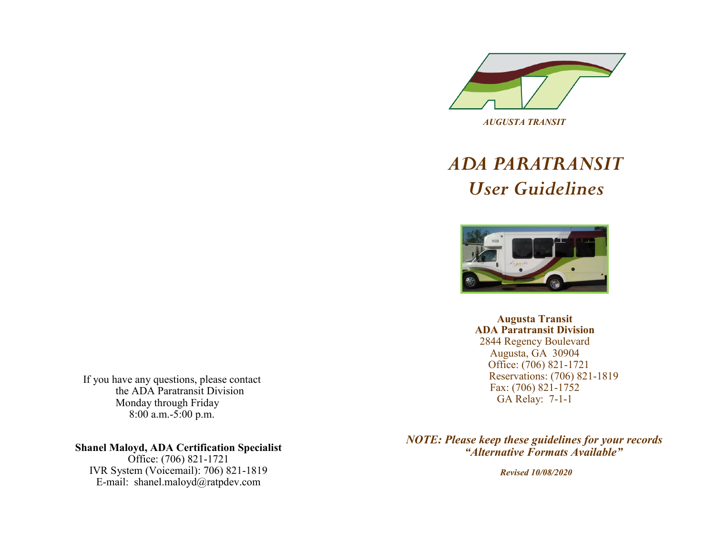

# *ADA PARATRANSIT User Guidelines*



**Augusta Transit ADA Paratransit Division**  2844 Regency Boulevard Augusta, GA 30904 Office: (706) 821-1721 Reservations: (706) 821-1819 Fax: (706) 821-1752 GA Relay: 7-1-1

If you have any questions, please contact the ADA Paratransit Division Monday through Friday 8:00 a.m.-5:00 p.m.

#### **Shanel Maloyd, ADA Certification Specialist**

Office: (706) 821-1721 IVR System (Voicemail): 706) 821-1819 E-mail: shanel.maloyd@ratpdev.com

*NOTE: Please keep these guidelines for your records "Alternative Formats Available"* 

*Revised 10/08/2020*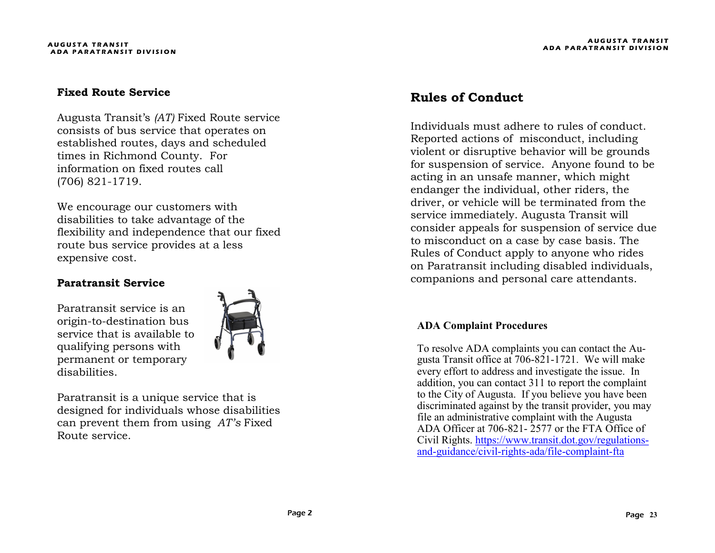#### **Fixed Route Service**

Augusta Transit's *(AT)* Fixed Route service consists of bus service that operates on established routes, days and scheduled times in Richmond County. For information on fixed routes call (706) 821-1719.

We encourage our customers with disabilities to take advantage of the flexibility and independence that our fixed route bus service provides at a less expensive cost.

#### **Paratransit Service**

Paratransit service is an origin-to-destination bus service that is available to qualifying persons with permanent or temporary disabilities.



Paratransit is a unique service that is designed for individuals whose disabilities can prevent them from using *AT's* Fixed Route service.

# **Rules of Conduct**

Individuals must adhere to rules of conduct. Reported actions of misconduct, including violent or disruptive behavior will be grounds for suspension of service. Anyone found to be acting in an unsafe manner, which might endanger the individual, other riders, the driver, or vehicle will be terminated from the service immediately. Augusta Transit will consider appeals for suspension of service due to misconduct on a case by case basis. The Rules of Conduct apply to anyone who rides on Paratransit including disabled individuals, companions and personal care attendants.

#### **ADA Complaint Procedures**

To resolve ADA complaints you can contact the Augusta Transit office at 706-821-1721. We will make every effort to address and investigate the issue. In addition, you can contact 311 to report the complaint to the City of Augusta. If you believe you have been discriminated against by the transit provider, you may file an administrative complaint with the Augusta ADA Officer at 706-821- 2577 or the FTA Office of Civil Rights. [https://www.transit.dot.gov/regulations](https://www.transit.dot.gov/regulations-and-guidance/civil-rights-ada/file-complaint-fta)and-[guidance/civil](https://www.transit.dot.gov/regulations-and-guidance/civil-rights-ada/file-complaint-fta)-rights-ada/file-complaint-fta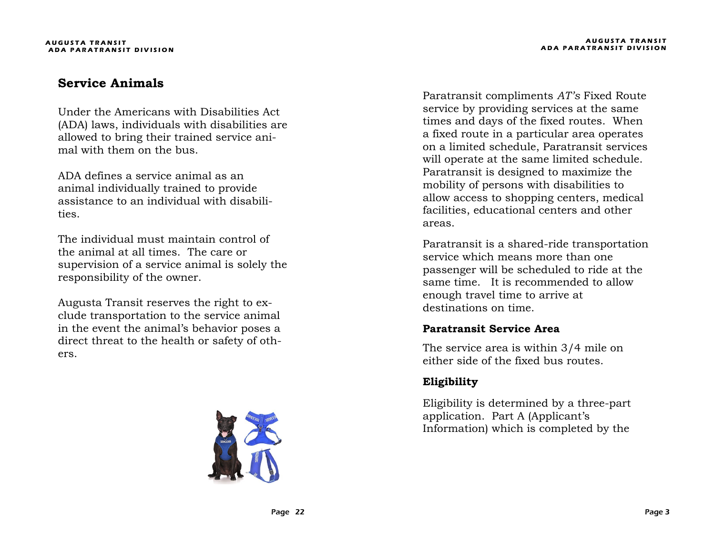# **Service Animals**

Under the Americans with Disabilities Act (ADA) laws, individuals with disabilities are allowed to bring their trained service animal with them on the bus.

ADA defines a service animal as an animal individually trained to provide assistance to an individual with disabilities.

The individual must maintain control of the animal at all times. The care or supervision of a service animal is solely the responsibility of the owner.

Augusta Transit reserves the right to exclude transportation to the service animal in the event the animal's behavior poses a direct threat to the health or safety of others.



Paratransit compliments *AT's* Fixed Route service by providing services at the same times and days of the fixed routes. When a fixed route in a particular area operates on a limited schedule, Paratransit services will operate at the same limited schedule. Paratransit is designed to maximize the mobility of persons with disabilities to allow access to shopping centers, medical facilities, educational centers and other areas.

Paratransit is a shared-ride transportation service which means more than one passenger will be scheduled to ride at the same time. It is recommended to allow enough travel time to arrive at destinations on time.

#### **Paratransit Service Area**

The service area is within 3/4 mile on either side of the fixed bus routes.

# **Eligibility**

Eligibility is determined by a three-part application. Part A (Applicant's Information) which is completed by the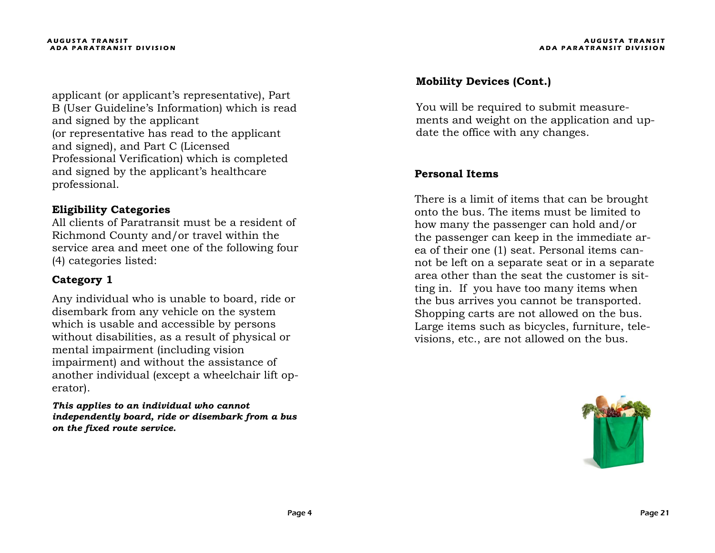applicant (or applicant's representative), Part B (User Guideline's Information) which is read and signed by the applicant (or representative has read to the applicant and signed), and Part C (Licensed Professional Verification) which is completed and signed by the applicant's healthcare professional.

#### **Eligibility Categories**

All clients of Paratransit must be a resident of Richmond County and/or travel within the service area and meet one of the following four (4) categories listed:

### **Category 1**

Any individual who is unable to board, ride or disembark from any vehicle on the system which is usable and accessible by persons without disabilities, as a result of physical or mental impairment (including vision impairment) and without the assistance of another individual (except a wheelchair lift operator).

*This applies to an individual who cannot independently board, ride or disembark from a bus on the fixed route service.*

# **Mobility Devices (Cont.)**

You will be required to submit measurements and weight on the application and update the office with any changes.

#### **Personal Items**

There is a limit of items that can be brought onto the bus. The items must be limited to how many the passenger can hold and/or the passenger can keep in the immediate area of their one (1) seat. Personal items cannot be left on a separate seat or in a separate area other than the seat the customer is sitting in. If you have too many items when the bus arrives you cannot be transported. Shopping carts are not allowed on the bus. Large items such as bicycles, furniture, televisions, etc., are not allowed on the bus.

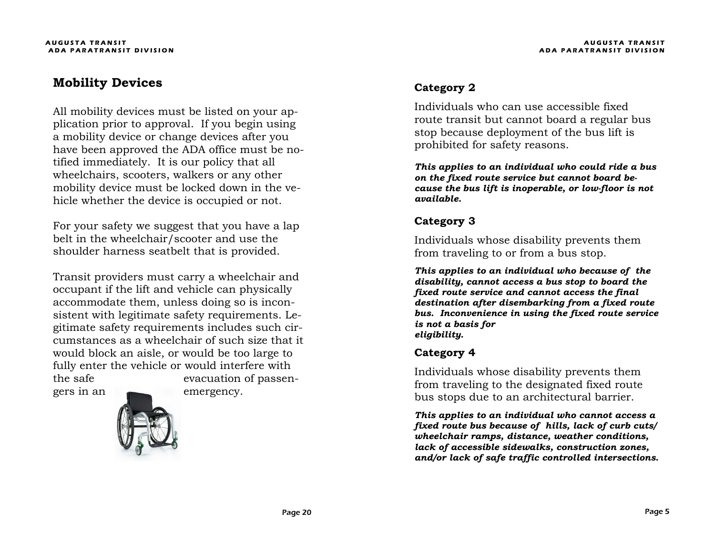# **Mobility Devices**

All mobility devices must be listed on your application prior to approval. If you begin using a mobility device or change devices after you have been approved the ADA office must be notified immediately. It is our policy that all wheelchairs, scooters, walkers or any other mobility device must be locked down in the vehicle whether the device is occupied or not.

For your safety we suggest that you have a lap belt in the wheelchair/scooter and use the shoulder harness seatbelt that is provided.

Transit providers must carry a wheelchair and occupant if the lift and vehicle can physically accommodate them, unless doing so is inconsistent with legitimate safety requirements. Legitimate safety requirements includes such circumstances as a wheelchair of such size that it would block an aisle, or would be too large to fully enter the vehicle or would interfere with the safe evacuation of passen-





# **Category 2**

Individuals who can use accessible fixed route transit but cannot board a regular bus stop because deployment of the bus lift is prohibited for safety reasons.

*This applies to an individual who could ride a bus on the fixed route service but cannot board because the bus lift is inoperable, or low-floor is not available.*

## **Category 3**

Individuals whose disability prevents them from traveling to or from a bus stop.

*This applies to an individual who because of the disability, cannot access a bus stop to board the fixed route service and cannot access the final destination after disembarking from a fixed route bus. Inconvenience in using the fixed route service is not a basis for eligibility.*

#### **Category 4**

Individuals whose disability prevents them from traveling to the designated fixed route bus stops due to an architectural barrier.

*This applies to an individual who cannot access a fixed route bus because of hills, lack of curb cuts/ wheelchair ramps, distance, weather conditions, lack of accessible sidewalks, construction zones, and/or lack of safe traffic controlled intersections.*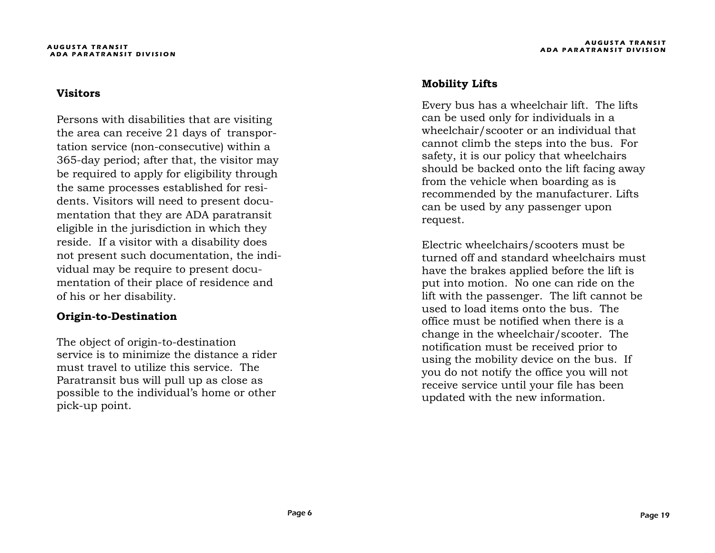#### **Visitors**

Persons with disabilities that are visiting the area can receive 21 days of transportation service (non-consecutive) within a 365-day period; after that, the visitor may be required to apply for eligibility through the same processes established for residents. Visitors will need to present documentation that they are ADA paratransit eligible in the jurisdiction in which they reside. If a visitor with a disability does not present such documentation, the individual may be require to present documentation of their place of residence and of his or her disability.

#### **Origin-to-Destination**

The object of origin-to-destination service is to minimize the distance a rider must travel to utilize this service. The Paratransit bus will pull up as close as possible to the individual's home or other pick-up point.

#### **Mobility Lifts**

Every bus has a wheelchair lift. The lifts can be used only for individuals in a wheelchair/scooter or an individual that cannot climb the steps into the bus. For safety, it is our policy that wheelchairs should be backed onto the lift facing away from the vehicle when boarding as is recommended by the manufacturer. Lifts can be used by any passenger upon request.

Electric wheelchairs/scooters must be turned off and standard wheelchairs must have the brakes applied before the lift is put into motion. No one can ride on the lift with the passenger. The lift cannot be used to load items onto the bus. The office must be notified when there is a change in the wheelchair/scooter. The notification must be received prior to using the mobility device on the bus. If you do not notify the office you will not receive service until your file has been updated with the new information.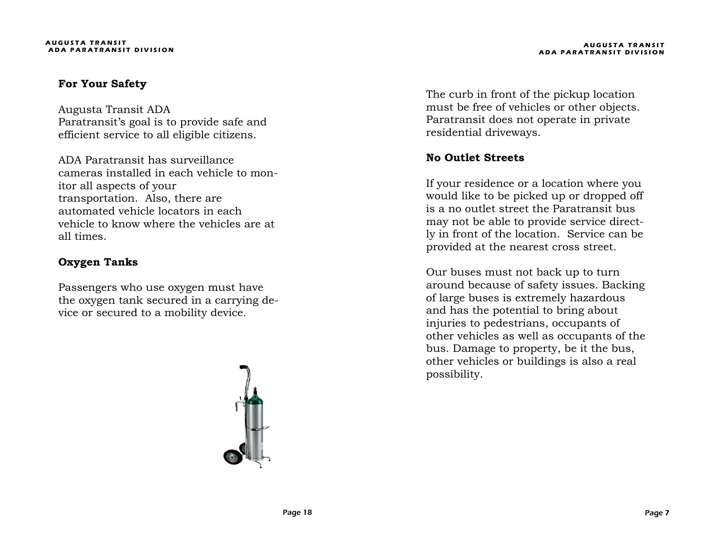#### **For Your Safety**

Augusta Transit ADA Paratransit's goal is to provide safe and efficient service to all eligible citizens.

ADA Paratransit has surveillance cameras installed in each vehicle to monitor all aspects of your transportation. Also, there are automated vehicle locators in each vehicle to know where the vehicles are at all times.

# **Oxygen Tanks**

Passengers who use oxygen must have the oxygen tank secured in a carrying device or secured to a mobility device.



**A U G U S T A T R A N S I T ADA PARATRANSIT DIVISION** 

The curb in front of the pickup location must be free of vehicles or other objects. Paratransit does not operate in private residential driveways.

# **No Outlet Streets**

If your residence or a location where you would like to be picked up or dropped off is a no outlet street the Paratransit bus may not be able to provide service directly in front of the location. Service can be provided at the nearest cross street.

Our buses must not back up to turn around because of safety issues. Backing of large buses is extremely hazardous and has the potential to bring about injuries to pedestrians, occupants of other vehicles as well as occupants of the bus. Damage to property, be it the bus, other vehicles or buildings is also a real possibility.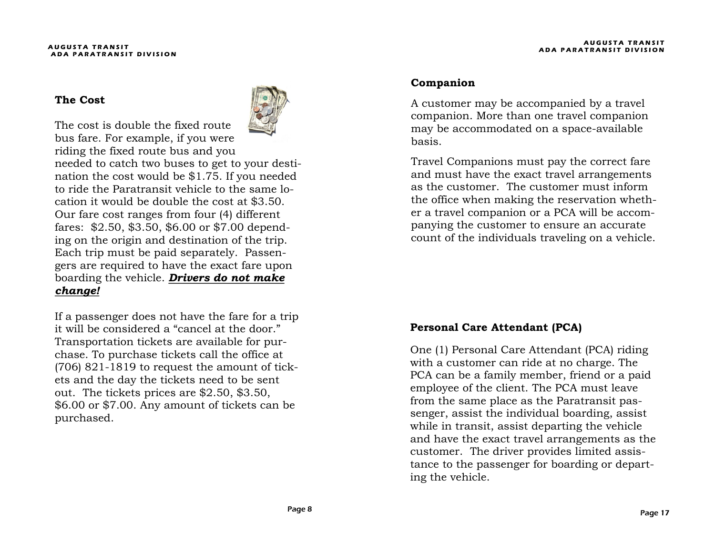The cost is double the fixed route

#### **The Cost**



bus fare. For example, if you were riding the fixed route bus and you needed to catch two buses to get to your destination the cost would be \$1.75. If you needed to ride the Paratransit vehicle to the same location it would be double the cost at \$3.50. Our fare cost ranges from four (4) different fares: \$2.50, \$3.50, \$6.00 or \$7.00 depending on the origin and destination of the trip. Each trip must be paid separately. Passengers are required to have the exact fare upon boarding the vehicle. *Drivers do not make change!* 

If a passenger does not have the fare for a trip it will be considered a "cancel at the door." Transportation tickets are available for purchase. To purchase tickets call the office at (706) 821-1819 to request the amount of tickets and the day the tickets need to be sent out. The tickets prices are \$2.50, \$3.50, \$6.00 or \$7.00. Any amount of tickets can be purchased.

#### **Companion**

A customer may be accompanied by a travel companion. More than one travel companion may be accommodated on a space-available basis.

Travel Companions must pay the correct fare and must have the exact travel arrangements as the customer. The customer must inform the office when making the reservation whether a travel companion or a PCA will be accompanying the customer to ensure an accurate count of the individuals traveling on a vehicle.

#### **Personal Care Attendant (PCA)**

One (1) Personal Care Attendant (PCA) riding with a customer can ride at no charge. The PCA can be a family member, friend or a paid employee of the client. The PCA must leave from the same place as the Paratransit passenger, assist the individual boarding, assist while in transit, assist departing the vehicle and have the exact travel arrangements as the customer. The driver provides limited assistance to the passenger for boarding or departing the vehicle.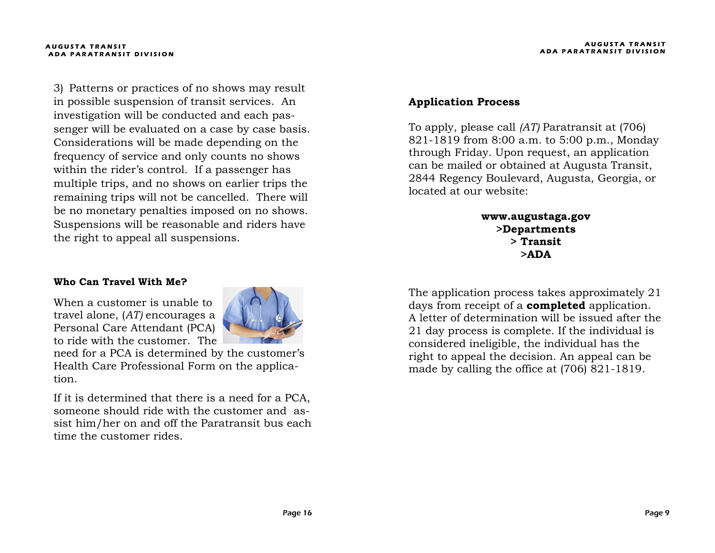3) Patterns or practices of no shows may result in possible suspension of transit services. An investigation will be conducted and each passenger will be evaluated on a case by case basis. Considerations will be made depending on the frequency of service and only counts no shows within the rider's control. If a passenger has multiple trips, and no shows on earlier trips the remaining trips will not be cancelled. There will be no monetary penalties imposed on no shows. Suspensions will be reasonable and riders have the right to appeal all suspensions.

#### **Who Can Travel With Me?**

When a customer is unable to travel alone, (*AT)* encourages a Personal Care Attendant (PCA) to ride with the customer. The



need for a PCA is determined by the customer's Health Care Professional Form on the application.

If it is determined that there is a need for a PCA, someone should ride with the customer and assist him/her on and off the Paratransit bus each time the customer rides.

#### **Application Process**

To apply, please call *(AT)* Paratransit at (706) 821-1819 from 8:00 a.m. to 5:00 p.m., Monday through Friday. Upon request, an application can be mailed or obtained at Augusta Transit, 2844 Regency Boulevard, Augusta, Georgia, or located at our website:

> **www.augustaga.gov >Departments > Transit >ADA**

The application process takes approximately 21 days from receipt of a **completed** application. A letter of determination will be issued after the 21 day process is complete. If the individual is considered ineligible, the individual has the right to appeal the decision. An appeal can be made by calling the office at (706) 821-1819.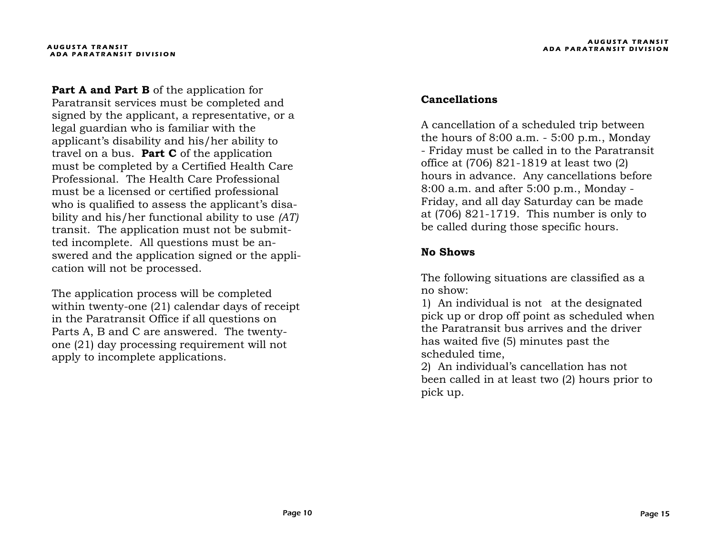Part A and Part B of the application for Paratransit services must be completed and signed by the applicant, a representative, or a legal guardian who is familiar with the applicant's disability and his/her ability to travel on a bus. **Part C** of the application must be completed by a Certified Health Care Professional. The Health Care Professional must be a licensed or certified professional who is qualified to assess the applicant's disability and his/her functional ability to use *(AT)*  transit. The application must not be submitted incomplete. All questions must be answered and the application signed or the application will not be processed.

The application process will be completed within twenty-one (21) calendar days of receipt in the Paratransit Office if all questions on Parts A, B and C are answered. The twentyone (21) day processing requirement will not apply to incomplete applications.

#### **Cancellations**

A cancellation of a scheduled trip between the hours of 8:00 a.m. - 5:00 p.m., Monday - Friday must be called in to the Paratransit office at (706) 821-1819 at least two (2) hours in advance. Any cancellations before 8:00 a.m. and after 5:00 p.m., Monday - Friday, and all day Saturday can be made at (706) 821-1719. This number is only to be called during those specific hours.

#### **No Shows**

The following situations are classified as a no show:

1) An individual is not at the designated pick up or drop off point as scheduled when the Paratransit bus arrives and the driver has waited five (5) minutes past the scheduled time,

2) An individual's cancellation has not been called in at least two (2) hours prior to pick up.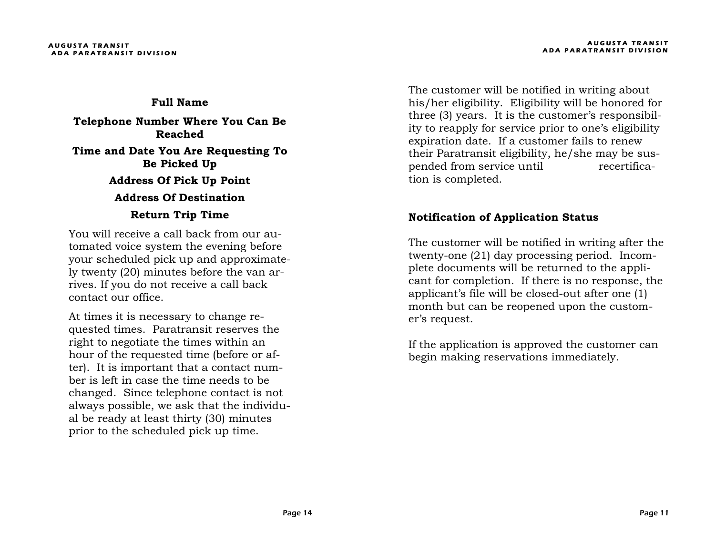**Full Name Telephone Number Where You Can Be Reached Time and Date You Are Requesting To Be Picked Up Address Of Pick Up Point Address Of Destination Return Trip Time**

You will receive a call back from our automated voice system the evening before your scheduled pick up and approximately twenty (20) minutes before the van arrives. If you do not receive a call back contact our office.

At times it is necessary to change requested times. Paratransit reserves the right to negotiate the times within an hour of the requested time (before or after). It is important that a contact number is left in case the time needs to be changed. Since telephone contact is not always possible, we ask that the individual be ready at least thirty (30) minutes prior to the scheduled pick up time.

The customer will be notified in writing about his/her eligibility. Eligibility will be honored for three (3) years. It is the customer's responsibility to reapply for service prior to one's eligibility expiration date. If a customer fails to renew their Paratransit eligibility, he/she may be suspended from service until recertification is completed.

#### **Notification of Application Status**

The customer will be notified in writing after the twenty-one (21) day processing period. Incomplete documents will be returned to the applicant for completion. If there is no response, the applicant's file will be closed-out after one (1) month but can be reopened upon the customer's request.

If the application is approved the customer can begin making reservations immediately.